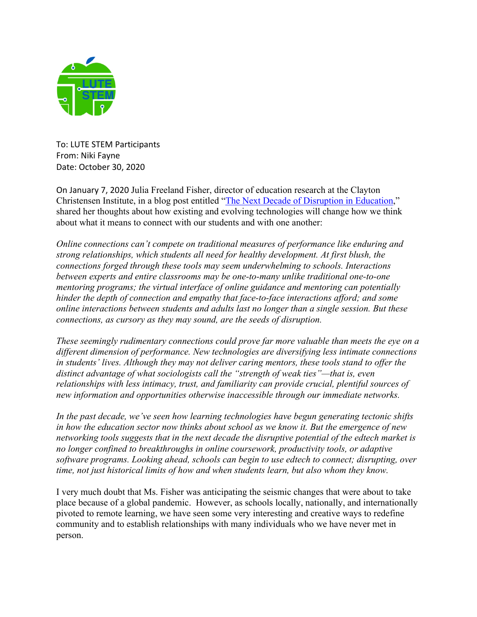

To: LUTE STEM Participants From: Niki Fayne Date: October 30, 2020

On January 7, 2020 Julia Freeland Fisher, director of education research at the Clayton Christensen Institute, in a blog post entitled "The Next Decade of Disruption in Education," shared her thoughts about how existing and evolving technologies will change how we think about what it means to connect with our students and with one another:

*Online connections can't compete on traditional measures of performance like enduring and strong relationships, which students all need for healthy development. At first blush, the connections forged through these tools may seem underwhelming to schools. Interactions between experts and entire classrooms may be one-to-many unlike traditional one-to-one mentoring programs; the virtual interface of online guidance and mentoring can potentially hinder the depth of connection and empathy that face-to-face interactions afford; and some online interactions between students and adults last no longer than a single session. But these connections, as cursory as they may sound, are the seeds of disruption.*

*These seemingly rudimentary connections could prove far more valuable than meets the eye on a different dimension of performance. New technologies are diversifying less intimate connections in students' lives. Although they may not deliver caring mentors, these tools stand to offer the distinct advantage of what sociologists call the "strength of weak ties"—that is, even relationships with less intimacy, trust, and familiarity can provide crucial, plentiful sources of new information and opportunities otherwise inaccessible through our immediate networks.*

*In the past decade, we've seen how learning technologies have begun generating tectonic shifts in how the education sector now thinks about school as we know it. But the emergence of new networking tools suggests that in the next decade the disruptive potential of the edtech market is no longer confined to breakthroughs in online coursework, productivity tools, or adaptive software programs. Looking ahead, schools can begin to use edtech to connect; disrupting, over time, not just historical limits of how and when students learn, but also whom they know.*

I very much doubt that Ms. Fisher was anticipating the seismic changes that were about to take place because of a global pandemic. However, as schools locally, nationally, and internationally pivoted to remote learning, we have seen some very interesting and creative ways to redefine community and to establish relationships with many individuals who we have never met in person.